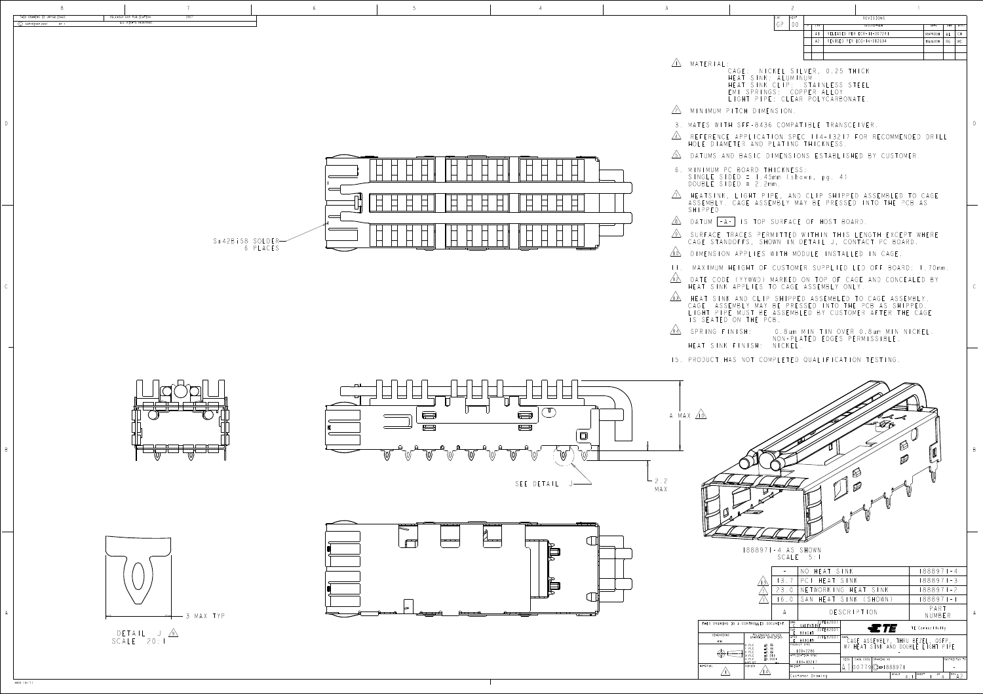B

B

D



| LOC. | DIST | REVISIONS |                            |           |            |           |  |  |
|------|------|-----------|----------------------------|-----------|------------|-----------|--|--|
| GP   |      | LTR.      | DESCRIPTION                | DATE      | <b>DWN</b> | APVD      |  |  |
|      |      | A         | RELEASED PER ECR-II-007241 | 08APR2011 | AL         | <b>CW</b> |  |  |
|      |      | A2        | REVISED PER ECO-14-012634  | 18AUG2014 | RG.        | MC        |  |  |
|      |      |           |                            |           |            |           |  |  |
|      |      |           |                            |           |            |           |  |  |

|                                        |                                                                                                       |            | NO HEAT SINK                                                                                               | 1888971-4                                                      |
|----------------------------------------|-------------------------------------------------------------------------------------------------------|------------|------------------------------------------------------------------------------------------------------------|----------------------------------------------------------------|
|                                        | $\mathcal{E}$                                                                                         | 3.         | PC<br>HEAT SINK                                                                                            | 1888971-3                                                      |
|                                        |                                                                                                       | 23.0       | TWORKING HEAT SINK                                                                                         | 88897   -2                                                     |
|                                        |                                                                                                       | 6.0        | SAN HEAT SINK (SHOWN)                                                                                      | 88897   -                                                      |
|                                        |                                                                                                       |            | <b>DESCRIPTION</b>                                                                                         | PART<br>NUMBER                                                 |
| THIS DRAWING IS A CONTROLLED DOCUMENT. |                                                                                                       | DWN<br>CHK | 22FEB2007<br>VALENTINE<br>ETF<br>22FEB2007<br><b>BRIGHT</b>                                                | TE Connectivity                                                |
| DIMENSIONS:<br>mm                      | TOLERANCES UNLESS<br>OTHERWISE SPECIFIED:<br>±0.13<br>0 PLC<br>$\pm 0.13$<br>PLC<br>$\pm 0.13$<br>PLC | APVD       | 22FEB2007<br>NAME<br>. BRIGHT<br>PRODUCT SPEC<br>W/<br>$108 - 2286$                                        | CAGE ASSEMBLY, THRU BEZEL, QSFP,<br>HEAT SINK AND DOUBLE LIGHT |
| MATERIAL                               | ±0.013<br>PLC<br>PLC<br>±0.0001<br>ANGLES<br>FINISH                                                   |            | APPLICATION SPEC<br>CAGE CODE<br>DRAWING NO<br>SIZE<br>$114 - 13217$<br>$19$ (C-1888971<br>WEIGHT<br>10077 | RESTRICTED TO                                                  |
|                                        | $\vert 4 \vert$                                                                                       |            | Customer Drawing                                                                                           | SCALE<br>SHEET<br>OF<br>$1$ REV $\Lambda$ $\supset$<br>$-4$ :  |

| THIS DRAWING IS UNPUBLISHED.<br>$(C)$ COPYRIGHT 2007<br>$BY =$ | RELEASED FOR PUBLICATION<br>2007<br>ALL RIGHTS RESERVED.                    |             |
|----------------------------------------------------------------|-----------------------------------------------------------------------------|-------------|
|                                                                | Sn 42Bi58 SOLDER-<br>6 PLACES                                               | $\Box$<br>矵 |
|                                                                | $\begin{array}{ccc} \n\Box & \Box \Box & \Box \end{array}$<br>$\Box$<br>IU. | ല           |
| 4805 (3/11)                                                    | - 3 MAX TYP<br>$\Rightarrow$<br>DETAIL J A<br>SCALE 20:1                    | ß<br>ß      |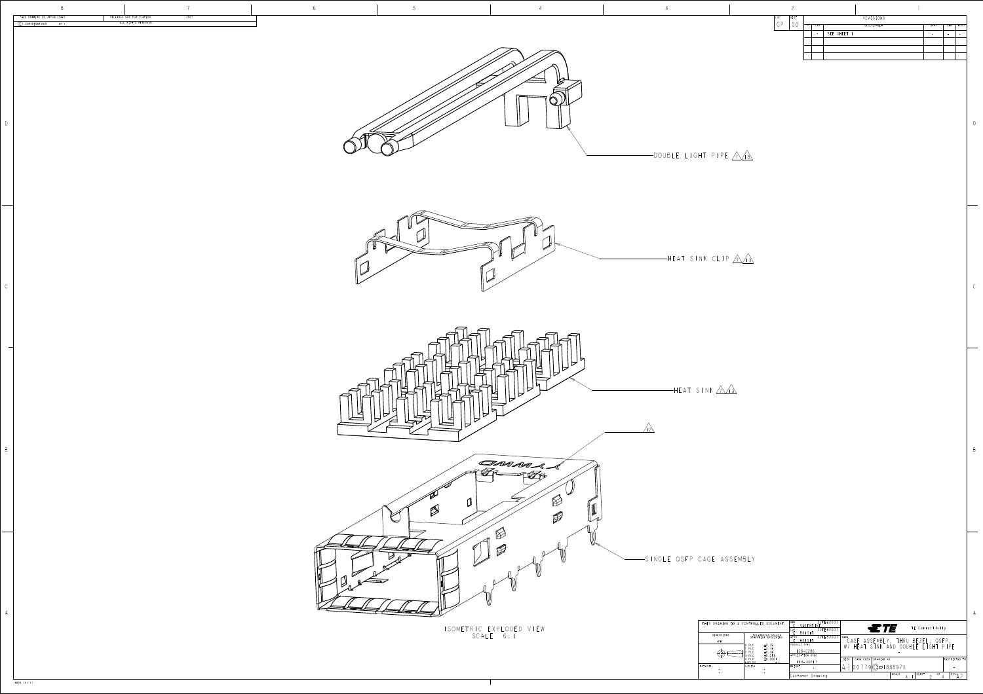

B

|               | AWING IS A CONTROLLED DOCUMENT.                                                              | EB200<br>DWN<br>VALENT<br>- I N.F<br>22FEB2007<br><b>CHK</b><br><b>BRIGHT</b> | $\epsilon$ <i>TE</i><br>TE Connectivity                                                              |  |  |
|---------------|----------------------------------------------------------------------------------------------|-------------------------------------------------------------------------------|------------------------------------------------------------------------------------------------------|--|--|
| NSIONS:<br>mm | TOLERANCES UNLESS<br>OTHERWISE SPECIFIED:                                                    | 22FEB2007<br>APVD<br>BRIGHT                                                   | NAME<br>CAGE ASSEMBLY, THRU BEZEL, QSFP                                                              |  |  |
|               | $\pm 0.13$<br>0 PLC<br>±0.13<br>PLC.<br>$\pm 0.13$<br>PLC<br>±0.013<br>PLC<br>PLC<br>±0.0001 | PRODUCT SPEC<br>$108 - 2286$<br>APPLICATION SPEC                              | HEAT SINK AND DOUBLE LIGHT<br>$P$   $P$ $F$<br>W<br>CAGE CODE<br>RESTRICTED TO<br>SIZE<br>DRAWING NO |  |  |
|               | <b>ANGLES</b><br><b>FINISH</b>                                                               | $14 - 13217$<br>WEIGHT                                                        | $ 00779 C - 188897 $                                                                                 |  |  |
|               |                                                                                              | Customer Drawing                                                              | SCALE<br>SHEET<br>REV,<br>0F<br>л.                                                                   |  |  |

|                              | ⌒    |   |            |                          |      |      |      |
|------------------------------|------|---|------------|--------------------------|------|------|------|
| LOC.<br>$\cap$ $\cap$<br>$-$ | DIST | D | <b>LTR</b> | REVISIONS<br>DESCRIPTION | DATE | DWN  | APVD |
|                              |      |   | $\sim$     | SEE SHEET I              |      | $\,$ |      |
|                              |      |   |            |                          |      |      |      |
|                              |      |   |            |                          |      |      |      |
|                              |      |   |            |                          |      |      |      |
|                              |      |   |            |                          |      |      |      |

4805 (3/11)

|              | $\,8\,$                                                        |                                                  | 7    | $6\overline{6}$ |                                  |
|--------------|----------------------------------------------------------------|--------------------------------------------------|------|-----------------|----------------------------------|
|              | THIS DRAWING IS UNPUBLISHED.<br>$(C)$ COPYRIGHT 2007<br>$BY -$ | RELEASED FOR PUBLICATION<br>ALL RIGHTS RESERVED. | 2007 |                 |                                  |
| $\mathbb{D}$ |                                                                |                                                  |      |                 | $\leq$<br><b>SFZ</b>             |
| $\mathsf C$  |                                                                |                                                  |      |                 | $\overline{\pi}$<br>$\mathbb{D}$ |
| $\,$ B       |                                                                |                                                  |      |                 |                                  |
| A            |                                                                |                                                  |      |                 |                                  |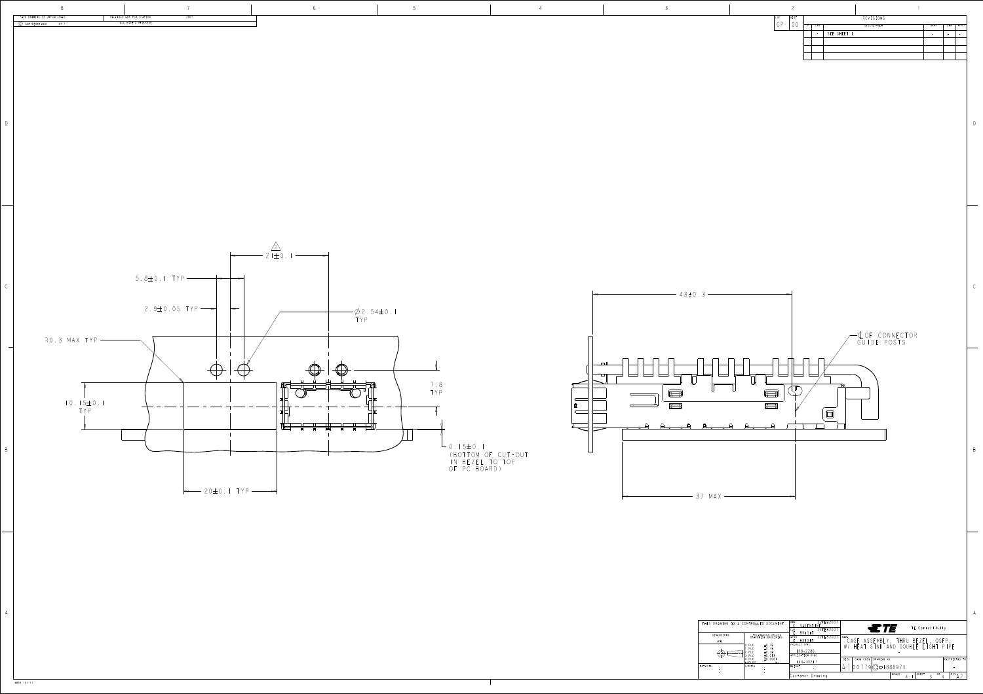B

B

|                      | AWING IS A CONTROLLED DOCUMENT.                                         | 22FEB2001<br>DWN<br>VALENT<br>22FEB2007<br>CHK   | STE<br>TE Connectivity                           |  |  |  |  |
|----------------------|-------------------------------------------------------------------------|--------------------------------------------------|--------------------------------------------------|--|--|--|--|
| <b>NSIONS:</b><br>mm | TOLERANCES UNLESS<br>OTHERWISE SPECIFIED:                               | <b>BRIGHT</b><br>22FEB2007<br>APVD<br>BRIGH1     | NAME<br>CAGE ASSEMBLY, THRU BEZEL, QSFP          |  |  |  |  |
|                      | ±0.13<br>PLC<br>PLC<br>$\pm 0.13$<br>PLC<br>$\pm 0.13$<br>±0.013<br>PLC | PRODUCT SPEC<br>$108 - 2286$<br>APPLICATION SPEC | HEAT SINK AND DOUBLE LIGHT PIPE<br>W/            |  |  |  |  |
|                      | 4 PLC<br>±0.0001<br>ANGLES<br>FINISH                                    | $14 - 13217$<br>WEIGHT                           | CAGE CODE<br>RESTRICTED TO<br>SIZE<br>DRAWING NO |  |  |  |  |
|                      |                                                                         | $\sim$                                           | $ 00779 C - 188897 $<br>SCALE                    |  |  |  |  |
|                      |                                                                         | Customer Drawing                                 | SHEET<br>OF<br>$REV_A$<br>$\Delta$ .             |  |  |  |  |



4805 (3/11)





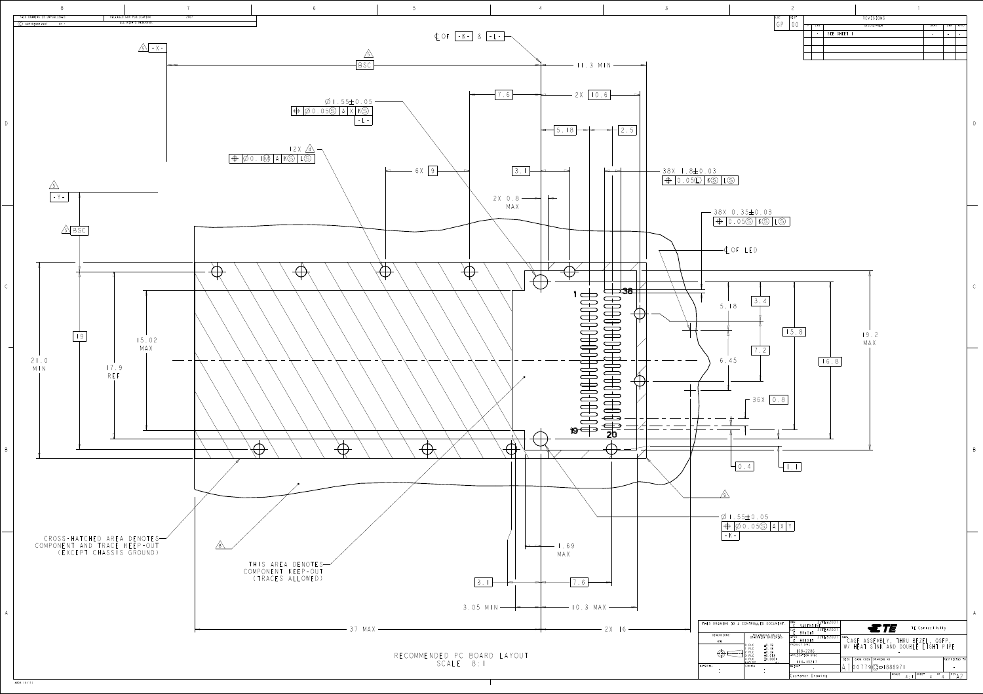B





| CONTROLLED DOCUMENT.                                                                                                             | DWN<br>22FEB200<br>VALENT<br>-N F<br>22FEB2007<br>CHK<br>BRIGHT                 | <b>NOTE</b><br>TE Connectivity                                                       |
|----------------------------------------------------------------------------------------------------------------------------------|---------------------------------------------------------------------------------|--------------------------------------------------------------------------------------|
| TOLERANCES UNLESS<br>OTHERWISE SPECIFIED:<br>$\pm 0.13$<br><b>PLC</b><br>PLC<br>$\pm 0.13$<br>PLC<br>$\pm 0.13$<br>PLC<br>±0.013 | 22FEB2007<br>APVD<br>BRIGHT<br>PRODUCT SPEC<br>$108 - 2286$<br>APPLICATION SPEC | <b>NAME</b><br>CAGE ASSEMBLY, THRU BEZEL, QSFP<br>W/ HEAT SINK AND DOUBLE LIGHT PIPE |
| $\pm 0.0001$<br>4 PLC<br>ANGLES<br>FINISH                                                                                        | $114 - 13217$<br>I WE I GHT                                                     | DRAWING NO<br>CAGE CODE  <br>RESTRICTED TO<br>SIZE<br>$[00779]$ $C = 1888971$        |
|                                                                                                                                  | Customer Drawing                                                                | SCALE<br>SHEET<br>OF<br>REV,<br>$\mathbf{\Delta}$ .                                  |

4805 (3/11)